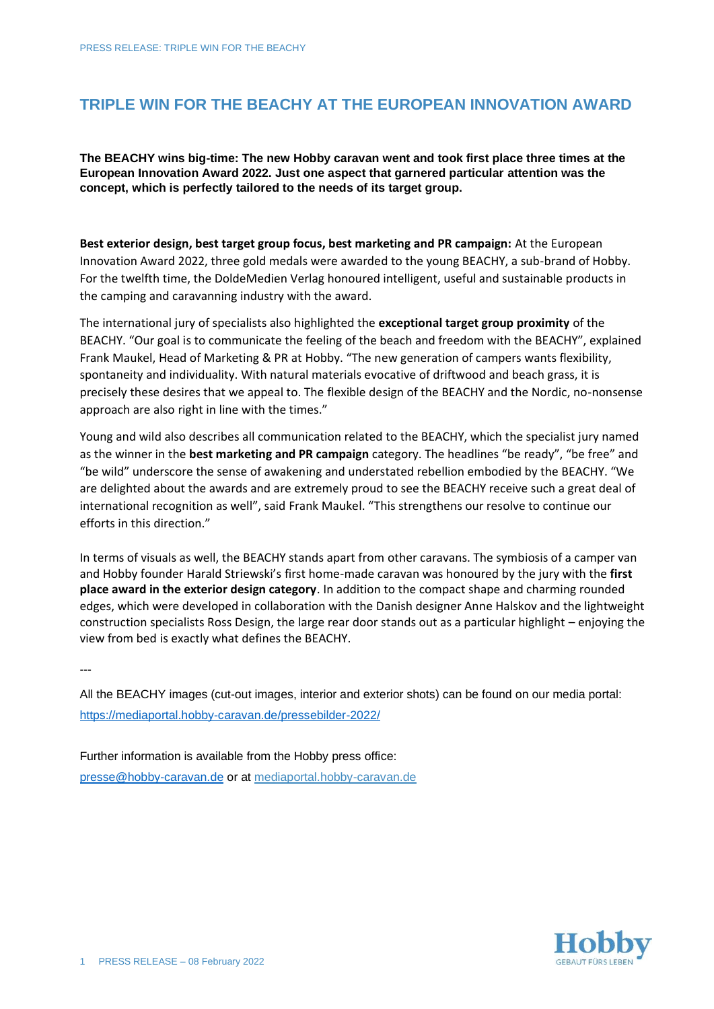## **TRIPLE WIN FOR THE BEACHY AT THE EUROPEAN INNOVATION AWARD**

**The BEACHY wins big-time: The new Hobby caravan went and took first place three times at the European Innovation Award 2022. Just one aspect that garnered particular attention was the concept, which is perfectly tailored to the needs of its target group.**

**Best exterior design, best target group focus, best marketing and PR campaign:** At the European Innovation Award 2022, three gold medals were awarded to the young BEACHY, a sub-brand of Hobby. For the twelfth time, the DoldeMedien Verlag honoured intelligent, useful and sustainable products in the camping and caravanning industry with the award.

The international jury of specialists also highlighted the **exceptional target group proximity** of the BEACHY. "Our goal is to communicate the feeling of the beach and freedom with the BEACHY", explained Frank Maukel, Head of Marketing & PR at Hobby. "The new generation of campers wants flexibility, spontaneity and individuality. With natural materials evocative of driftwood and beach grass, it is precisely these desires that we appeal to. The flexible design of the BEACHY and the Nordic, no-nonsense approach are also right in line with the times."

Young and wild also describes all communication related to the BEACHY, which the specialist jury named as the winner in the **best marketing and PR campaign** category. The headlines "be ready", "be free" and "be wild" underscore the sense of awakening and understated rebellion embodied by the BEACHY. "We are delighted about the awards and are extremely proud to see the BEACHY receive such a great deal of international recognition as well", said Frank Maukel. "This strengthens our resolve to continue our efforts in this direction."

In terms of visuals as well, the BEACHY stands apart from other caravans. The symbiosis of a camper van and Hobby founder Harald Striewski's first home-made caravan was honoured by the jury with the **first place award in the exterior design category**. In addition to the compact shape and charming rounded edges, which were developed in collaboration with the Danish designer Anne Halskov and the lightweight construction specialists Ross Design, the large rear door stands out as a particular highlight – enjoying the view from bed is exactly what defines the BEACHY.

---

All the BEACHY images (cut-out images, interior and exterior shots) can be found on our media portal: [https://mediaportal.hobby-caravan.de/pressebilder-2022/](https://mediaportal.hobby-caravan.de/pressebilder-2022/wohnwagen/beachy/)

Further information is available from the Hobby press office: [presse@hobby-caravan.de](mailto:presse@hobby-caravan.de) or at [mediaportal.hobby-caravan.de](https://mediaportal.hobby-caravan.de/)

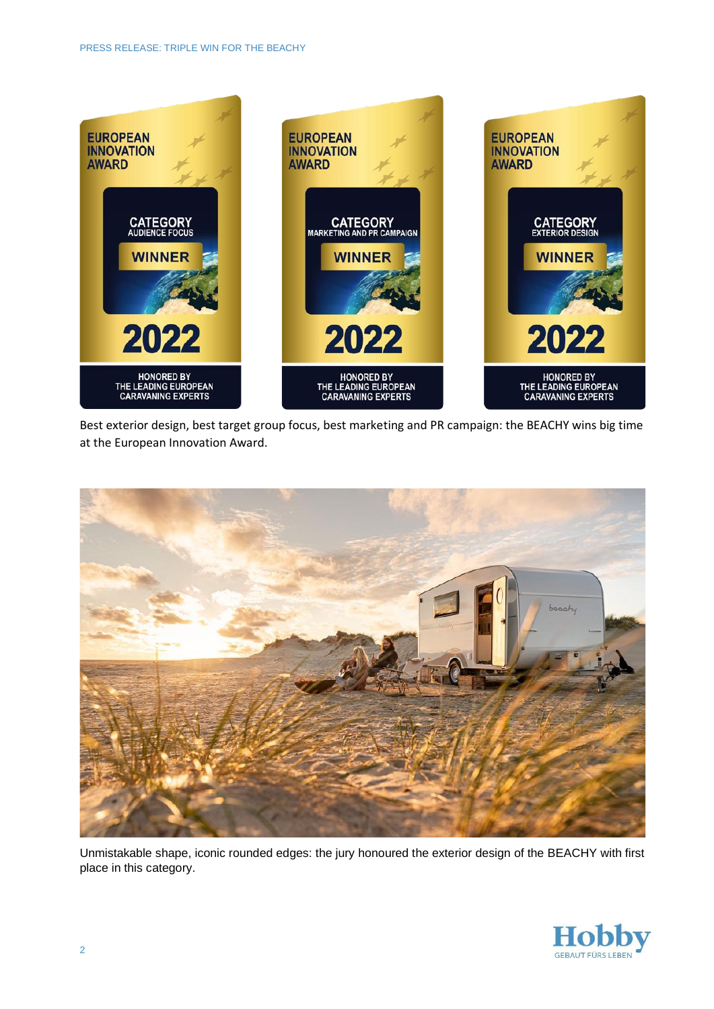

Best exterior design, best target group focus, best marketing and PR campaign: the BEACHY wins big time at the European Innovation Award.



Unmistakable shape, iconic rounded edges: the jury honoured the exterior design of the BEACHY with first place in this category.

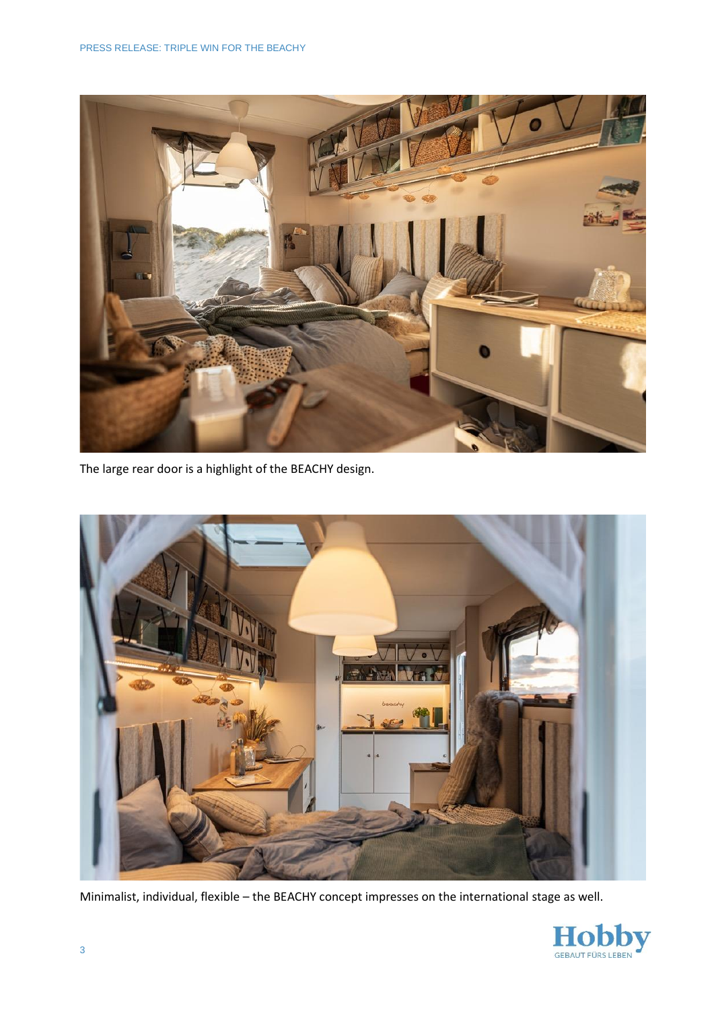

The large rear door is a highlight of the BEACHY design.



Minimalist, individual, flexible – the BEACHY concept impresses on the international stage as well.